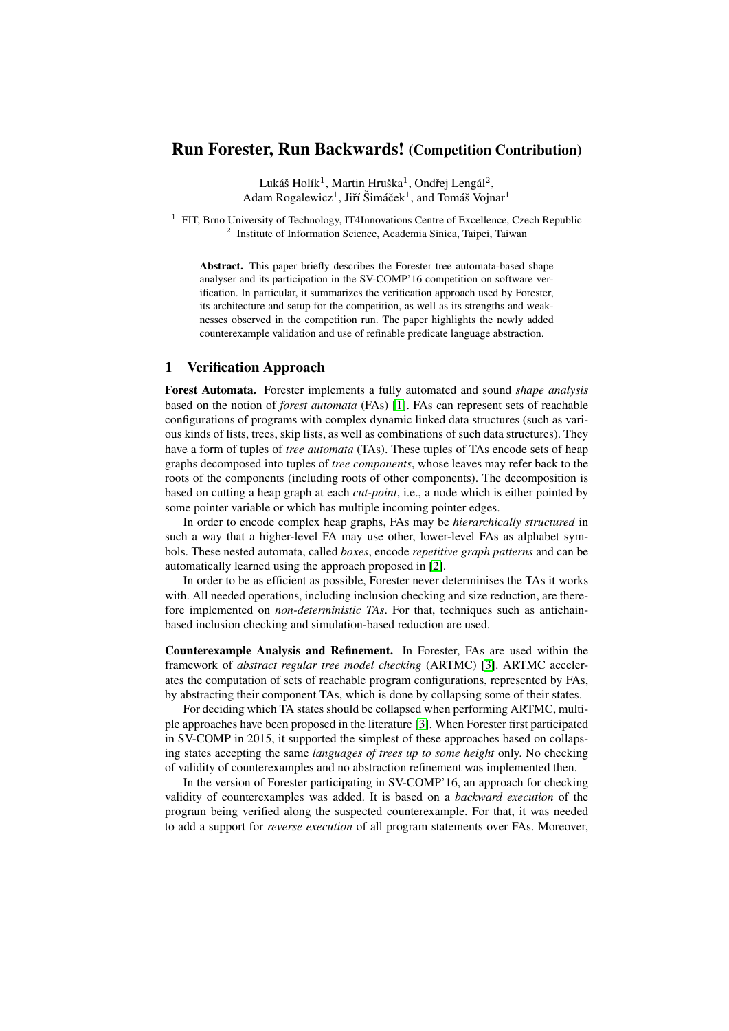# Run Forester, Run Backwards! (Competition Contribution)

Lukáš Holík $^1$ , Martin Hruška $^1$ , Ondřej Lengál $^2$ , Adam Rogalewicz<sup>1</sup>, Jiří Šimáček<sup>1</sup>, and Tomáš Vojnar<sup>1</sup>

<sup>1</sup> FIT, Brno University of Technology, IT4Innovations Centre of Excellence, Czech Republic <sup>2</sup> Institute of Information Science, Academia Sinica, Taipei, Taiwan

Abstract. This paper briefly describes the Forester tree automata-based shape analyser and its participation in the SV-COMP'16 competition on software verification. In particular, it summarizes the verification approach used by Forester, its architecture and setup for the competition, as well as its strengths and weaknesses observed in the competition run. The paper highlights the newly added counterexample validation and use of refinable predicate language abstraction.

# 1 Verification Approach

Forest Automata. Forester implements a fully automated and sound *shape analysis* based on the notion of *forest automata* (FAs) [\[1\]](#page-2-0). FAs can represent sets of reachable configurations of programs with complex dynamic linked data structures (such as various kinds of lists, trees, skip lists, as well as combinations of such data structures). They have a form of tuples of *tree automata* (TAs). These tuples of TAs encode sets of heap graphs decomposed into tuples of *tree components*, whose leaves may refer back to the roots of the components (including roots of other components). The decomposition is based on cutting a heap graph at each *cut-point*, i.e., a node which is either pointed by some pointer variable or which has multiple incoming pointer edges.

In order to encode complex heap graphs, FAs may be *hierarchically structured* in such a way that a higher-level FA may use other, lower-level FAs as alphabet symbols. These nested automata, called *boxes*, encode *repetitive graph patterns* and can be automatically learned using the approach proposed in [\[2\]](#page-2-1).

In order to be as efficient as possible, Forester never determinises the TAs it works with. All needed operations, including inclusion checking and size reduction, are therefore implemented on *non-deterministic TAs*. For that, techniques such as antichainbased inclusion checking and simulation-based reduction are used.

Counterexample Analysis and Refinement. In Forester, FAs are used within the framework of *abstract regular tree model checking* (ARTMC) [\[3\]](#page-2-2). ARTMC accelerates the computation of sets of reachable program configurations, represented by FAs, by abstracting their component TAs, which is done by collapsing some of their states.

For deciding which TA states should be collapsed when performing ARTMC, multiple approaches have been proposed in the literature [\[3\]](#page-2-2). When Forester first participated in SV-COMP in 2015, it supported the simplest of these approaches based on collapsing states accepting the same *languages of trees up to some height* only. No checking of validity of counterexamples and no abstraction refinement was implemented then.

In the version of Forester participating in SV-COMP'16, an approach for checking validity of counterexamples was added. It is based on a *backward execution* of the program being verified along the suspected counterexample. For that, it was needed to add a support for *reverse execution* of all program statements over FAs. Moreover,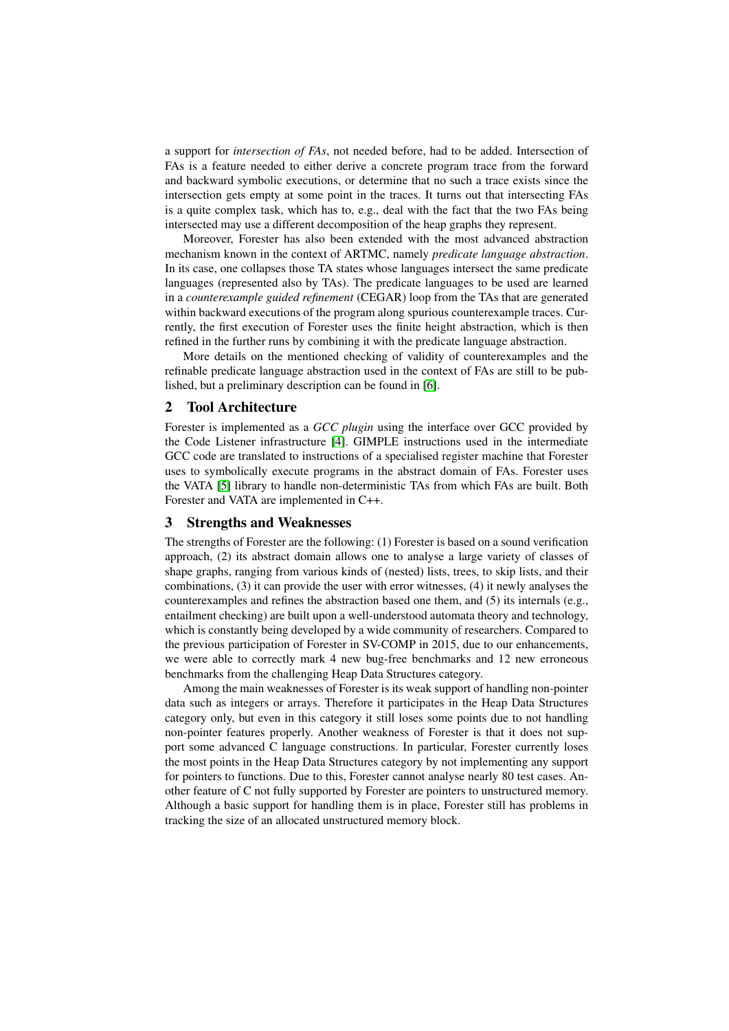a support for *intersection of FAs*, not needed before, had to be added. Intersection of FAs is a feature needed to either derive a concrete program trace from the forward and backward symbolic executions, or determine that no such a trace exists since the intersection gets empty at some point in the traces. It turns out that intersecting FAs is a quite complex task, which has to, e.g., deal with the fact that the two FAs being intersected may use a different decomposition of the heap graphs they represent.

Moreover, Forester has also been extended with the most advanced abstraction mechanism known in the context of ARTMC, namely *predicate language abstraction*. In its case, one collapses those TA states whose languages intersect the same predicate languages (represented also by TAs). The predicate languages to be used are learned in a *counterexample guided refinement* (CEGAR) loop from the TAs that are generated within backward executions of the program along spurious counterexample traces. Currently, the first execution of Forester uses the finite height abstraction, which is then refined in the further runs by combining it with the predicate language abstraction.

More details on the mentioned checking of validity of counterexamples and the refinable predicate language abstraction used in the context of FAs are still to be published, but a preliminary description can be found in [\[6\]](#page-2-3).

# 2 Tool Architecture

Forester is implemented as a *GCC plugin* using the interface over GCC provided by the Code Listener infrastructure [\[4\]](#page-2-4). GIMPLE instructions used in the intermediate GCC code are translated to instructions of a specialised register machine that Forester uses to symbolically execute programs in the abstract domain of FAs. Forester uses the VATA [\[5\]](#page-2-5) library to handle non-deterministic TAs from which FAs are built. Both Forester and VATA are implemented in C++.

# 3 Strengths and Weaknesses

The strengths of Forester are the following: (1) Forester is based on a sound verification approach, (2) its abstract domain allows one to analyse a large variety of classes of shape graphs, ranging from various kinds of (nested) lists, trees, to skip lists, and their combinations, (3) it can provide the user with error witnesses, (4) it newly analyses the counterexamples and refines the abstraction based one them, and (5) its internals (e.g., entailment checking) are built upon a well-understood automata theory and technology, which is constantly being developed by a wide community of researchers. Compared to the previous participation of Forester in SV-COMP in 2015, due to our enhancements, we were able to correctly mark 4 new bug-free benchmarks and 12 new erroneous benchmarks from the challenging Heap Data Structures category.

Among the main weaknesses of Forester is its weak support of handling non-pointer data such as integers or arrays. Therefore it participates in the Heap Data Structures category only, but even in this category it still loses some points due to not handling non-pointer features properly. Another weakness of Forester is that it does not support some advanced C language constructions. In particular, Forester currently loses the most points in the Heap Data Structures category by not implementing any support for pointers to functions. Due to this, Forester cannot analyse nearly 80 test cases. Another feature of C not fully supported by Forester are pointers to unstructured memory. Although a basic support for handling them is in place, Forester still has problems in tracking the size of an allocated unstructured memory block.